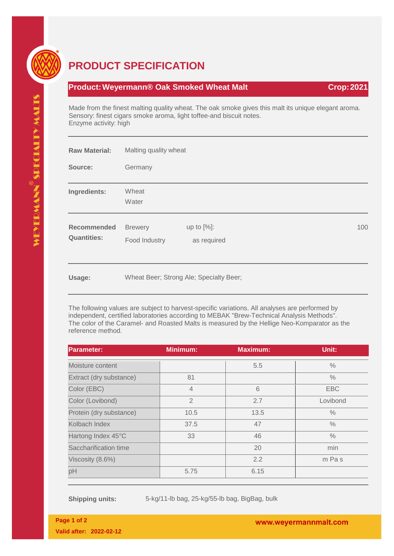

## **PRODUCT SPECIFICATION**

## **Product: Weyermann® Oak Smoked Wheat Malt Crop: 2021**

Made from the finest malting quality wheat. The oak smoke gives this malt its unique elegant aroma. Sensory: finest cigars smoke aroma, light toffee-and biscuit notes. Enzyme activity: high

| <b>Raw Material:</b>                     | Malting quality wheat           |                                         |  |     |
|------------------------------------------|---------------------------------|-----------------------------------------|--|-----|
| Source:                                  | Germany                         |                                         |  |     |
| Ingredients:                             | Wheat<br>Water                  |                                         |  |     |
| <b>Recommended</b><br><b>Quantities:</b> | <b>Brewery</b><br>Food Industry | up to $[%]$ :<br>as required            |  | 100 |
| Usage:                                   |                                 | Wheat Beer; Strong Ale; Specialty Beer; |  |     |

The following values are subject to harvest-specific variations. All analyses are performed by independent, certified laboratories according to MEBAK "Brew-Technical Analysis Methods". The color of the Caramel- and Roasted Malts is measured by the Hellige Neo-Komparator as the reference method.

| <b>Parameter:</b>       | <b>Minimum:</b> | <b>Maximum:</b> | Unit:         |
|-------------------------|-----------------|-----------------|---------------|
| Moisture content        |                 | 5.5             | $\%$          |
| Extract (dry substance) | 81              |                 | $\frac{0}{0}$ |
| Color (EBC)             | $\overline{4}$  | 6               | <b>EBC</b>    |
| Color (Lovibond)        | $\overline{2}$  | 2.7             | Lovibond      |
| Protein (dry substance) | 10.5            | 13.5            | $\frac{0}{0}$ |
| Kolbach Index           | 37.5            | 47              | $\%$          |
| Hartong Index 45°C      | 33              | 46              | $\frac{0}{0}$ |
| Saccharification time   |                 | 20              | min           |
| Viscosity (8.6%)        |                 | 2.2             | m Pas         |
| pH                      | 5.75            | 6.15            |               |

**Shipping units:** 5-kg/11-lb bag, 25-kg/55-lb bag, BigBag, bulk